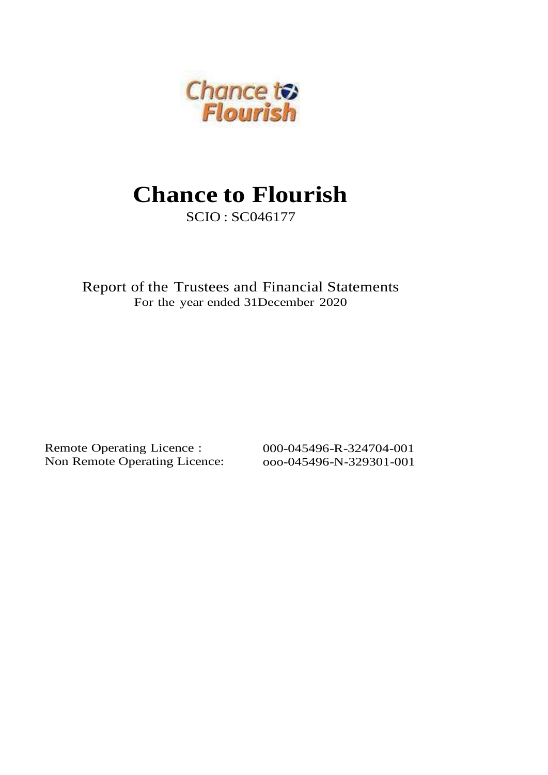

SCIO : SC046177

Report of the Trustees and Financial Statements For the year ended 31December 2020

Remote Operating Licence : Non Remote Operating Licence: 000-045496-R-324704-001 ooo-045496-N-329301-001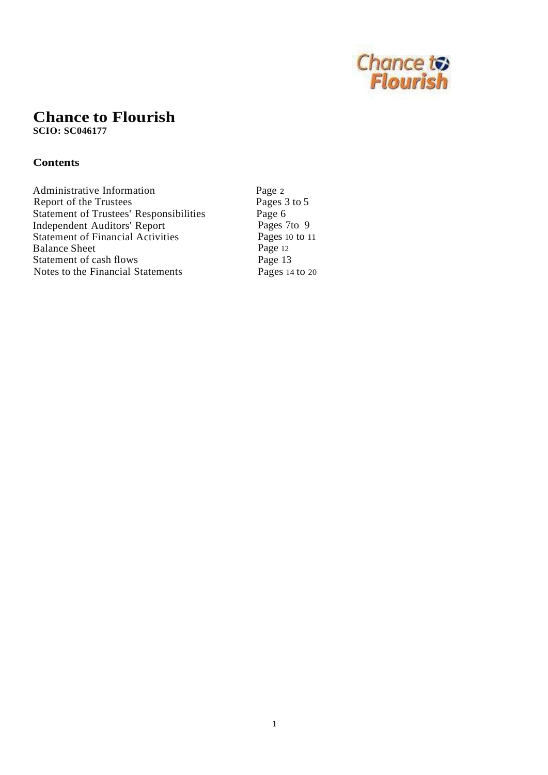

**SCIO: SC046177**

### **Contents**

Page <sup>2</sup> Pages 3 to 5 Page 6 Pages 7to 9 Pages 10 to 11 Page 12 Page 13 Pages 14 to 20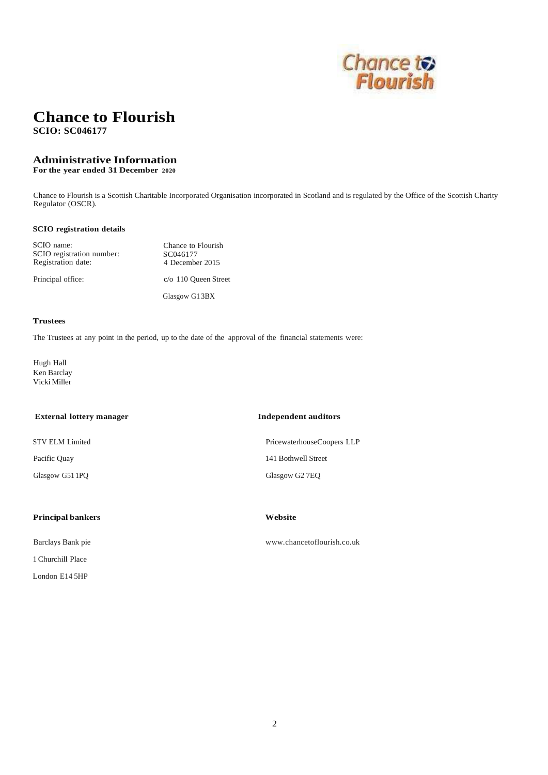

**SCIO: SC046177**

#### **Administrative Information**

**For the year ended 31 December 2020**

Chance to Flourish is a Scottish Charitable Incorporated Organisation incorporated in Scotland and is regulated by the Office of the Scottish Charity Regulator (OSCR).

#### **SCIO registration details**

| SCIO name:<br>SCIO registration number:<br>Registration date: | Chance to Flourish<br>SC046177<br>4 December 2015 |
|---------------------------------------------------------------|---------------------------------------------------|
| Principal office:                                             | $c$ /o 110 Queen Street                           |
|                                                               | Glasgow G13BX                                     |

#### **Trustees**

The Trustees at any point in the period, up to the date of the approval of the financial statements were:

Hugh Hall Ken Barclay Vicki Miller

| <b>Independent auditors</b><br><b>External lottery manager</b> |                        |  |
|----------------------------------------------------------------|------------------------|--|
| <b>STV ELM Limited</b>                                         | PricewaterhouseCoopers |  |
| Pacific Quay                                                   | 141 Bothwell Street    |  |
| Glasgow G51 1PQ                                                | Glasgow G2 7EQ         |  |
|                                                                |                        |  |
|                                                                |                        |  |

#### **Principal bankers Website**

Barclays Bank pie

1 Churchill Place

London E14 5HP

LLP

[www.chancetoflourish.co.uk](http://www.chancetoflourish.co.uk/)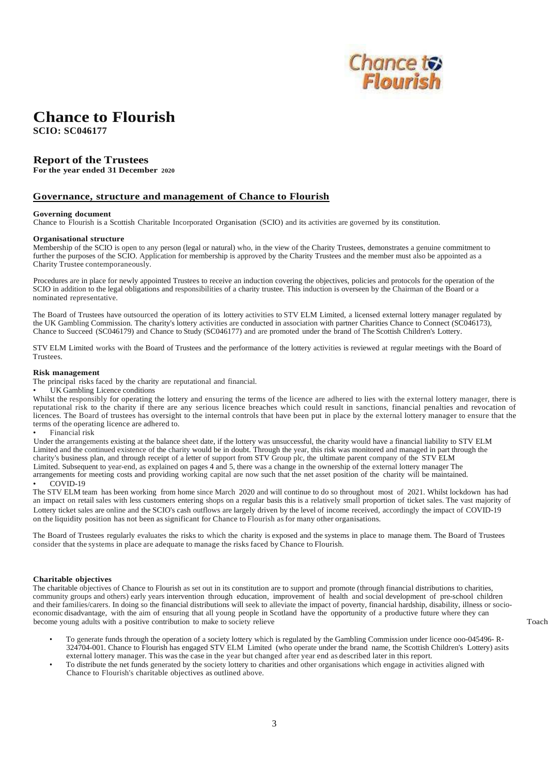

**SCIO: SC046177**

#### **Report of the Trustees**

**For the year ended 31 December 2020**

#### **Governance, structure and management of Chance to Flourish**

#### **Governing document**

Chance to Flourish is a Scottish Charitable Incorporated Organisation (SCIO) and its activities are governed by its constitution.

#### **Organisational structure**

Membership of the SCIO is open to any person (legal or natural) who, in the view of the Charity Trustees, demonstrates a genuine commitment to further the purposes of the SCIO. Application for membership is approved by the Charity Trustees and the member must also be appointed as a Charity Trustee contemporaneously.

Procedures are in place for newly appointed Trustees to receive an induction covering the objectives, policies and protocols for the operation of the SCIO in addition to the legal obligations and responsibilities of a charity trustee. This induction is overseen by the Chairman of the Board or a nominated representative.

The Board of Trustees have outsourced the operation of its lottery activities to STV ELM Limited, a licensed external lottery manager regulated by the UK Gambling Commission. The charity's lottery activities are conducted in association with partner Charities Chance to Connect (SC046173), Chance to Succeed (SC046179) and Chance to Study (SC046177) and are promoted under the brand of The Scottish Children's Lottery.

STV ELM Limited works with the Board of Trustees and the performance of the lottery activities is reviewed at regular meetings with the Board of Trustees.

#### **Risk management**

The principal risks faced by the charity are reputational and financial.

UK Gambling Licence conditions

Whilst the responsibly for operating the lottery and ensuring the terms of the licence are adhered to lies with the external lottery manager, there is reputational risk to the charity if there are any serious licence breaches which could result in sanctions, financial penalties and revocation of licences. The Board of trustees has oversight to the internal controls that have been put in place by the external lottery manager to ensure that the terms of the operating licence are adhered to.

• Financial risk

Under the arrangements existing at the balance sheet date, if the lottery was unsuccessful, the charity would have a financial liability to STV ELM Limited and the continued existence of the charity would be in doubt. Through the year, this risk was monitored and managed in part through the charity's business plan, and through receipt of a letter of support from STV Group plc, the ultimate parent company of the STV ELM Limited. Subsequent to year-end, as explained on pages 4 and 5, there was a change in the ownership of the external lottery manager The arrangements for meeting costs and providing working capital are now such that the net asset position of the charity will be maintained. • COVID-19

The STV ELM team has been working from home since March 2020 and will continue to do so throughout most of 2021. Whilst lockdown has had an impact on retail sales with less customers entering shops on a regular basis this is a relatively small proportion of ticket sales. The vast majority of Lottery ticket sales are online and the SCIO's cash outflows are largely driven by the level of income received, accordingly the impact of COVID-19 on the liquidity position has not been as significant for Chance to Flourish as for many other organisations.

The Board of Trustees regularly evaluates the risks to which the charity is exposed and the systems in place to manage them. The Board of Trustees consider that the systems in place are adequate to manage the risks faced by Chance to Flourish.

#### **Charitable objectives**

The charitable objectives of Chance to Flourish as set out in its constitution are to support and promote (through financial distributions to charities, community groups and others) early years intervention through education, improvement of health and social development of pre-school children and their families/carers. In doing so the financial distributions will seek to alleviate the impact of poverty, financial hardship, disability, illness or socioeconomic disadvantage, with the aim of ensuring that all young people in Scotland have the opportunity of a productive future where they can become young adults with a positive contribution to make to society relieve

- To generate funds through the operation of a society lottery which is regulated by the Gambling Commission under licence ooo-045496- R-324704-001. Chance to Flourish has engaged STV ELM Limited (who operate under the brand name, the Scottish Children's Lottery) asits external lottery manager. This was the case in the year but changed after year end as described later in this report.
- To distribute the net funds generated by the society lottery to charities and other organisations which engage in activities aligned with Chance to Flourish's charitable objectives as outlined above.

Toach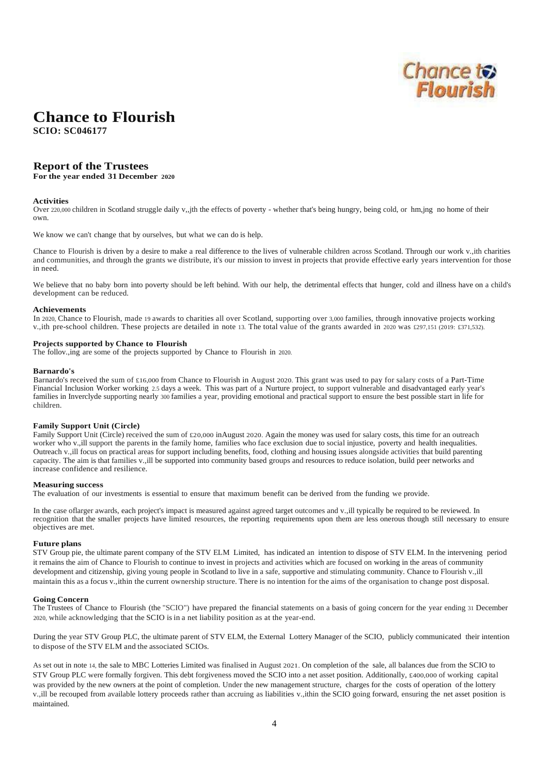

**SCIO: SC046177**

#### **Report of the Trustees**

**For the year ended 31 December 2020**

#### **Activities**

Over 220,000 children in Scotland struggle daily v,,jth the effects of poverty - whether that's being hungry, being cold, or hm,jng no home of their own.

We know we can't change that by ourselves, but what we can do is help.

Chance to Flourish is driven by a desire to make a real difference to the lives of vulnerable children across Scotland. Through our work v.,ith charities and communities, and through the grants we distribute, it's our mission to invest in projects that provide effective early years intervention for those in need.

We believe that no baby born into poverty should be left behind. With our help, the detrimental effects that hunger, cold and illness have on a child's development can be reduced.

#### **Achievements**

In 2020, Chance to Flourish, made 19 awards to charities all over Scotland, supporting over 3,000 families, through innovative projects working v.,ith pre-school children. These projects are detailed in note 13. The total value of the grants awarded in 2020 was £297,151 (2019: £371,532).

#### **Projects supported by Chance to Flourish**

The follov.,ing are some of the projects supported by Chance to Flourish in 2020.

#### **Barnardo's**

Barnardo's received the sum of £16,000 from Chance to Flourish in August 2020. This grant was used to pay for salary costs of a Part-Time Financial Inclusion Worker working 2.5 days a week. This was part of a Nurture project, to support vulnerable and disadvantaged early year's families in Inverclyde supporting nearly 300 families a year, providing emotional and practical support to ensure the best possible start in life for children.

#### **Family Support Unit (Circle)**

Family Support Unit (Circle) received the sum of £20,000 inAugust 2020. Again the money was used for salary costs, this time for an outreach worker who v.,ill support the parents in the family home, families who face exclusion due to social injustice, poverty and health inequalities. Outreach v.,ill focus on practical areas for support including benefits, food, clothing and housing issues alongside activities that build parenting capacity. The aim is that families v.,ill be supported into community based groups and resources to reduce isolation, build peer networks and increase confidence and resilience.

#### **Measuring success**

The evaluation of our investments is essential to ensure that maximum benefit can be derived from the funding we provide.

In the case of larger awards, each project's impact is measured against agreed target outcomes and v., ill typically be required to be reviewed. In recognition that the smaller projects have limited resources, the reporting requirements upon them are less onerous though still necessary to ensure objectives are met.

#### **Future plans**

STV Group pie, the ultimate parent company of the STV ELM Limited, has indicated an intention to dispose of STV ELM. In the intervening period it remains the aim of Chance to Flourish to continue to invest in projects and activities which are focused on working in the areas of community development and citizenship, giving young people in Scotland to live in a safe, supportive and stimulating community. Chance to Flourish v., ill maintain this as a focus v.,ithin the current ownership structure. There is no intention for the aims of the organisation to change post disposal.

#### **Going Concern**

The Trustees of Chance to Flourish (the "SCIO") have prepared the financial statements on a basis of going concern for the year ending 31 December 2020, while acknowledging that the SCIO is in a net liability position as at the year-end.

During the year STV Group PLC, the ultimate parent of STV ELM, the External Lottery Manager of the SCIO, publicly communicated their intention to dispose of the STV ELM and the associated SCIOs.

As set out in note 14, the sale to MBC Lotteries Limited was finalised in August 2021. On completion of the sale, all balances due from the SCIO to STV Group PLC were formally forgiven. This debt forgiveness moved the SCIO into a net asset position. Additionally, £400,000 of working capital was provided by the new owners at the point of completion. Under the new management structure, charges for the costs of operation of the lottery v.,ill be recouped from available lottery proceeds rather than accruing as liabilities v.,ithin the SCIO going forward, ensuring the net asset position is maintained.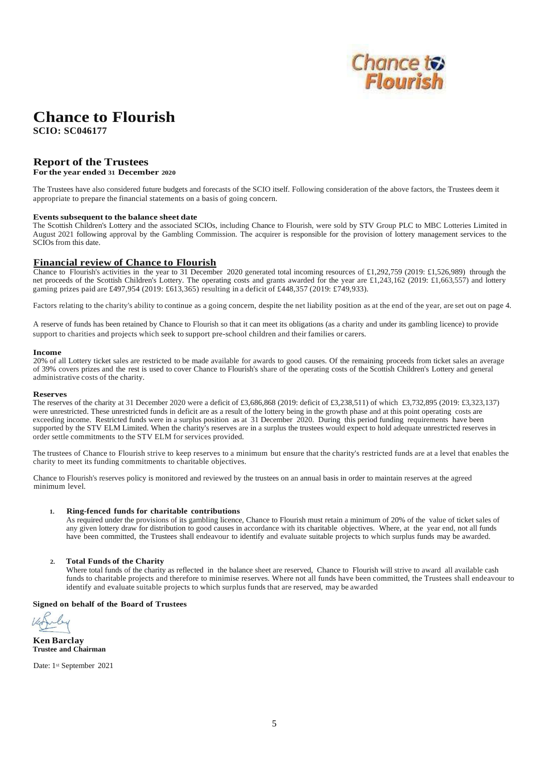

**SCIO: SC046177**

### **Report of the Trustees**

**For the year ended 31 December 2020**

The Trustees have also considered future budgets and forecasts of the SCIO itself. Following consideration of the above factors, the Trustees deem it appropriate to prepare the financial statements on a basis of going concern.

#### **Events subsequent to the balance sheet date**

The Scottish Children's Lottery and the associated SCIOs, including Chance to Flourish, were sold by STV Group PLC to MBC Lotteries Limited in August 2021 following approval by the Gambling Commission. The acquirer is responsible for the provision of lottery management services to the SCIOs from this date.

#### **Financial review of Chance to Flourish**

Chance to Flourish's activities in the year to 31 December 2020 generated total incoming resources of £1,292,759 (2019: £1,526,989) through the net proceeds of the Scottish Children's Lottery. The operating costs and grants awarded for the year are £1,243,162 (2019: £1,663,557) and lottery gaming prizes paid are £497,954 (2019: £613,365) resulting in a deficit of £448,357 (2019: £749,933).

Factors relating to the charity's ability to continue as a going concern, despite the net liability position as at the end of the year, are set out on page 4.

A reserve of funds has been retained by Chance to Flourish so that it can meet its obligations (as a charity and under its gambling licence) to provide support to charities and projects which seek to support pre-school children and their families or carers.

#### **Income**

20% of all Lottery ticket sales are restricted to be made available for awards to good causes. Of the remaining proceeds from ticket sales an average of 39% covers prizes and the rest is used to cover Chance to Flourish's share of the operating costs of the Scottish Children's Lottery and general administrative costs of the charity.

#### **Reserves**

The reserves of the charity at 31 December 2020 were a deficit of £3,686,868 (2019: deficit of £3,238,511) of which £3,732,895 (2019: £3,323,137) were unrestricted. These unrestricted funds in deficit are as a result of the lottery being in the growth phase and at this point operating costs are exceeding income. Restricted funds were in a surplus position as at 31 December 2020. During this period funding requirements have been supported by the STV ELM Limited. When the charity's reserves are in a surplus the trustees would expect to hold adequate unrestricted reserves in order settle commitments to the STV ELM for services provided.

The trustees of Chance to Flourish strive to keep reserves to a minimum but ensure that the charity's restricted funds are at a level that enables the charity to meet its funding commitments to charitable objectives.

Chance to Flourish's reserves policy is monitored and reviewed by the trustees on an annual basis in order to maintain reserves at the agreed minimum level.

#### **1. Ring-fenced funds for charitable contributions**

As required under the provisions of its gambling licence, Chance to Flourish must retain a minimum of 20% of the value of ticket sales of any given lottery draw for distribution to good causes in accordance with its charitable objectives. Where, at the year end, not all funds have been committed, the Trustees shall endeavour to identify and evaluate suitable projects to which surplus funds may be awarded.

#### **2. Total Funds of the Charity**

Where total funds of the charity as reflected in the balance sheet are reserved, Chance to Flourish will strive to award all available cash funds to charitable projects and therefore to minimise reserves. Where not all funds have been committed, the Trustees shall endeavour to identify and evaluate suitable projects to which surplus funds that are reserved, may be awarded

**Signed on behalf of the Board of Trustees**

**Ken Barclay Trustee and Chairman**

Date: 1st September 2021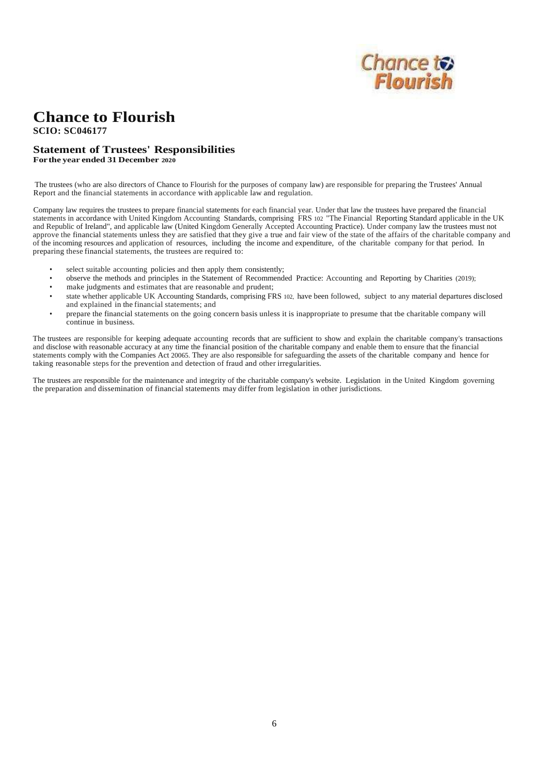

**SCIO: SC046177**

#### **Statement of Trustees' Responsibilities Forthe year ended 31 December 2020**

The trustees (who are also directors of Chance to Flourish for the purposes of company law) are responsible for preparing the Trustees' Annual Report and the financial statements in accordance with applicable law and regulation.

Company law requires the trustees to prepare financial statements for each financial year. Under that law the trustees have prepared the financial statements in accordance with United Kingdom Accounting Standards, comprising FRS 102 "The Financial Reporting Standard applicable in the UK and Republic of Ireland", and applicable law (United Kingdom Generally Accepted Accounting Practice). Under company law the trustees must not approve the financial statements unless they are satisfied that they give a true and fair view of the state of the affairs of the charitable company and of the incoming resources and application of resources, including the income and expenditure, of the charitable company for that period. In preparing these financial statements, the trustees are required to:

- select suitable accounting policies and then apply them consistently;
- observe the methods and principles in the Statement of Recommended Practice: Accounting and Reporting by Charities (2019);
- make judgments and estimates that are reasonable and prudent;
- state whether applicable UK Accounting Standards, comprising FRS 102, have been followed, subject to any material departures disclosed and explained in the financial statements; and
- prepare the financial statements on the going concern basis unless it is inappropriate to presume that tbe charitable company will continue in business.

The trustees are responsible for keeping adequate accounting records that are sufficient to show and explain the charitable company's transactions and disclose with reasonable accuracy at any time the financial position of the charitable company and enable them to ensure that the financial statements comply with the Companies Act 20065. They are also responsible for safeguarding the assets of the charitable company and hence for taking reasonable steps for the prevention and detection of fraud and other irregularities.

The trustees are responsible for the maintenance and integrity of the charitable company's website. Legislation in the United Kingdom governing the preparation and dissemination of financial statements may differ from legislation in other jurisdictions.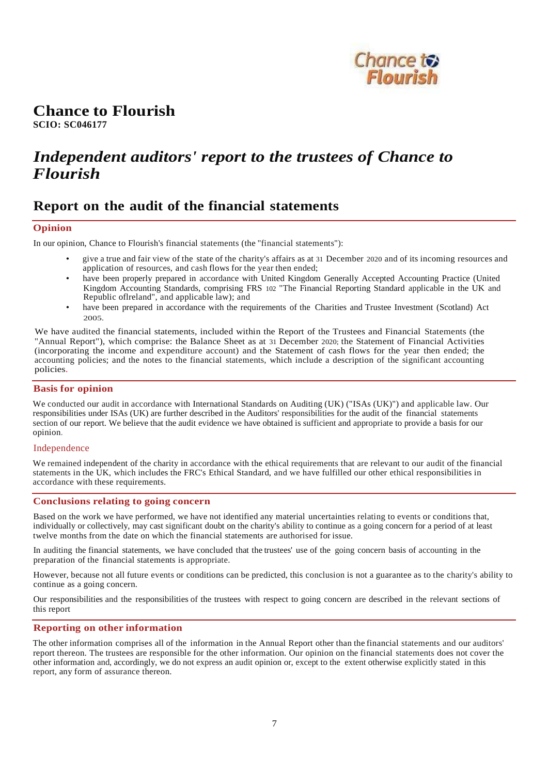

**SCIO: SC046177**

## *Independent auditors' report to the trustees of Chance to Flourish*

## **Report on the audit of the financial statements**

#### **Opinion**

In our opinion, Chance to Flourish's financial statements (the "financial statements"):

- give a true and fair view of the state of the charity's affairs as at 31 December 2020 and of its incoming resources and application of resources, and cash flows for the year then ended;
- have been properly prepared in accordance with United Kingdom Generally Accepted Accounting Practice (United Kingdom Accounting Standards, comprising FRS 102 "The Financial Reporting Standard applicable in the UK and Republic oflreland", and applicable law); and
- have been prepared in accordance with the requirements of the Charities and Trustee Investment (Scotland) Act 2005.

We have audited the financial statements, included within the Report of the Trustees and Financial Statements (the "Annual Report"), which comprise: the Balance Sheet as at 31 December 2020; the Statement of Financial Activities (incorporating the income and expenditure account) and the Statement of cash flows for the year then ended; the accounting policies; and the notes to the financial statements, which include a description of the significant accounting policies.

#### **Basis for opinion**

We conducted our audit in accordance with International Standards on Auditing (UK) ("ISAs (UK)") and applicable law. Our responsibilities under ISAs (UK) are further described in the Auditors' responsibilities for the audit of the financial statements section of our report. We believe that the audit evidence we have obtained is sufficient and appropriate to provide a basis for our opinion.

#### Independence

We remained independent of the charity in accordance with the ethical requirements that are relevant to our audit of the financial statements in the UK, which includes the FRC's Ethical Standard, and we have fulfilled our other ethical responsibilities in accordance with these requirements.

#### **Conclusions relating to going concern**

Based on the work we have performed, we have not identified any material uncertainties relating to events or conditions that, individually or collectively, may cast significant doubt on the charity's ability to continue as a going concern for a period of at least twelve months from the date on which the financial statements are authorised for issue.

In auditing the financial statements, we have concluded that the trustees' use of the going concern basis of accounting in the preparation of the financial statements is appropriate.

However, because not all future events or conditions can be predicted, this conclusion is not a guarantee as to the charity's ability to continue as a going concern.

Our responsibilities and the responsibilities of the trustees with respect to going concern are described in the relevant sections of this report

#### **Reporting on other information**

The other information comprises all of the information in the Annual Report other than the financial statements and our auditors' report thereon. The trustees are responsible for the other information. Our opinion on the financial statements does not cover the other information and, accordingly, we do not express an audit opinion or, except to the extent otherwise explicitly stated in this report, any form of assurance thereon.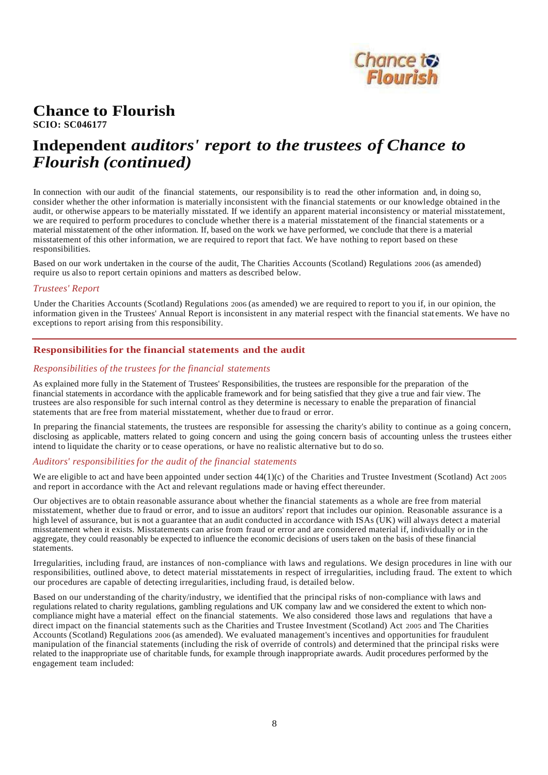

**SCIO: SC046177**

## **Independent** *auditors' report to the trustees of Chance to Flourish (continued)*

In connection with our audit of the financial statements, our responsibility is to read the other information and, in doing so, consider whether the other information is materially inconsistent with the financial statements or our knowledge obtained in the audit, or otherwise appears to be materially misstated. If we identify an apparent material inconsistency or material misstatement, we are required to perform procedures to conclude whether there is a material misstatement of the financial statements or a material misstatement of the other information. If, based on the work we have performed, we conclude that there is a material misstatement of this other information, we are required to report that fact. We have nothing to report based on these responsibilities.

Based on our work undertaken in the course of the audit, The Charities Accounts (Scotland) Regulations 2006 (as amended) require us also to report certain opinions and matters as described below.

#### *Trustees' Report*

Under the Charities Accounts (Scotland) Regulations 2006 (as amended) we are required to report to you if, in our opinion, the information given in the Trustees' Annual Report is inconsistent in any material respect with the financial stat ements. We have no exceptions to report arising from this responsibility.

#### **Responsibilities for the financial statements and the audit**

#### *Responsibilities of the trustees for the financial statements*

As explained more fully in the Statement of Trustees' Responsibilities, the trustees are responsible for the preparation of the financial statements in accordance with the applicable framework and for being satisfied that they give a true and fair view. The trustees are also responsible for such internal control as they determine is necessary to enable the preparation of financial statements that are free from material misstatement, whether due to fraud or error.

In preparing the financial statements, the trustees are responsible for assessing the charity's ability to continue as a going concern, disclosing as applicable, matters related to going concern and using the going concern basis of accounting unless the trustees either intend to liquidate the charity or to cease operations, or have no realistic alternative but to do so.

#### *Auditors' responsibilities for the audit of the financial statements*

We are eligible to act and have been appointed under section  $44(1)(c)$  of the Charities and Trustee Investment (Scotland) Act 2005 and report in accordance with the Act and relevant regulations made or having effect thereunder.

Our objectives are to obtain reasonable assurance about whether the financial statements as a whole are free from material misstatement, whether due to fraud or error, and to issue an auditors' report that includes our opinion. Reasonable assurance is a high level of assurance, but is not a guarantee that an audit conducted in accordance with ISAs (UK) will always detect a material misstatement when it exists. Misstatements can arise from fraud or error and are considered material if, individually or in the aggregate, they could reasonably be expected to influence the economic decisions of users taken on the basis of these financial statements.

Irregularities, including fraud, are instances of non-compliance with laws and regulations. We design procedures in line with our responsibilities, outlined above, to detect material misstatements in respect of irregularities, including fraud. The extent to which our procedures are capable of detecting irregularities, including fraud, is detailed below.

Based on our understanding of the charity/industry, we identified that the principal risks of non-compliance with laws and regulations related to charity regulations, gambling regulations and UK company law and we considered the extent to which noncompliance might have a material effect on the financial statements. We also considered those laws and regulations that have a direct impact on the financial statements such as the Charities and Trustee Investment (Scotland) Act 2005 and The Charities Accounts (Scotland) Regulations 2006 (as amended). We evaluated management's incentives and opportunities for fraudulent manipulation of the financial statements (including the risk of override of controls) and determined that the principal risks were related to the inappropriate use of charitable funds, for example through inappropriate awards. Audit procedures performed by the engagement team included: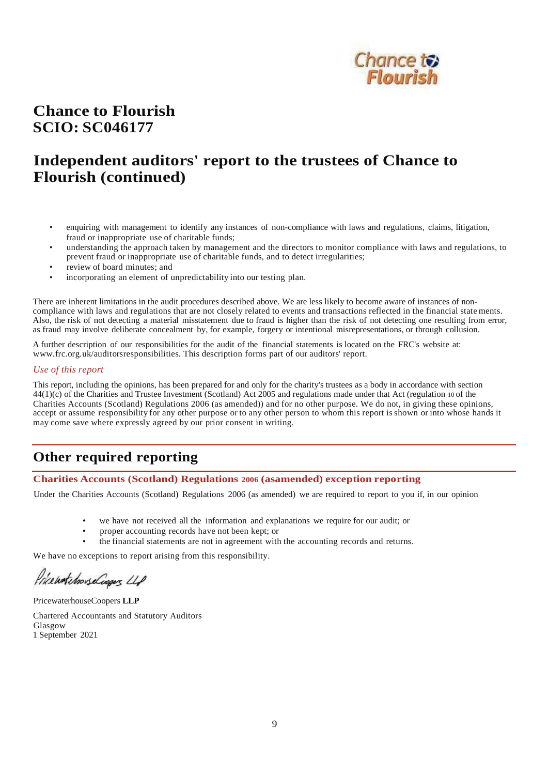

## **Chance to Flourish SCIO: SC046177**

## **Independent auditors' report to the trustees of Chance to Flourish (continued)**

- enquiring with management to identify any instances of non-compliance with laws and regulations, claims, litigation, fraud or inappropriate use of charitable funds;
- understanding the approach taken by management and the directors to monitor compliance with laws and regulations, to prevent fraud or inappropriate use of charitable funds, and to detect irregularities;
- review of board minutes; and
- incorporating an element of unpredictability into our testing plan.

There are inherent limitations in the audit procedures described above. We are less likely to become aware of instances of noncompliance with laws and regulations that are not closely related to events and transactions reflected in the financial state ments. Also, the risk of not detecting a material misstatement due to fraud is higher than the risk of not detecting one resulting from error, as fraud may involve deliberate concealment by, for example, forgery or intentional misrepresentations, or through collusion.

A further description of our responsibilities for the audit of the financial statements is located on the FRC's website at: [www.frc.org.uk/auditorsresponsibilities.](http://www.frc.org.uk/auditorsresponsibilities) This description forms part of our auditors' report.

#### *Use of this report*

This report, including the opinions, has been prepared for and only for the charity's trustees as a body in accordance with section 44(1)(c) of the Charities and Trustee Investment (Scotland) Act 2005 and regulations made under that Act (regulation 10 of the Charities Accounts (Scotland) Regulations 2006 (as amended)) and for no other purpose. We do not, in giving these opinions, accept or assume responsibility for any other purpose or to any other person to whom this report isshown or into whose hands it may come save where expressly agreed by our prior consent in writing.

## **Other required reporting**

#### **Charities Accounts (Scotland) Regulations 2006 (asamended) exception reporting**

Under the Charities Accounts (Scotland) Regulations 2006 (as amended) we are required to report to you if, in our opinion

- we have not received all the information and explanations we require for our audit; or
- proper accounting records have not been kept; or
- the financial statements are not in agreement with the accounting records and returns.

We have no exceptions to report arising from this responsibility.

Price wortchouse Coopers LLP

PricewaterhouseCoopers **LLP**

Chartered Accountants and Statutory Auditors Glasgow 1 September 2021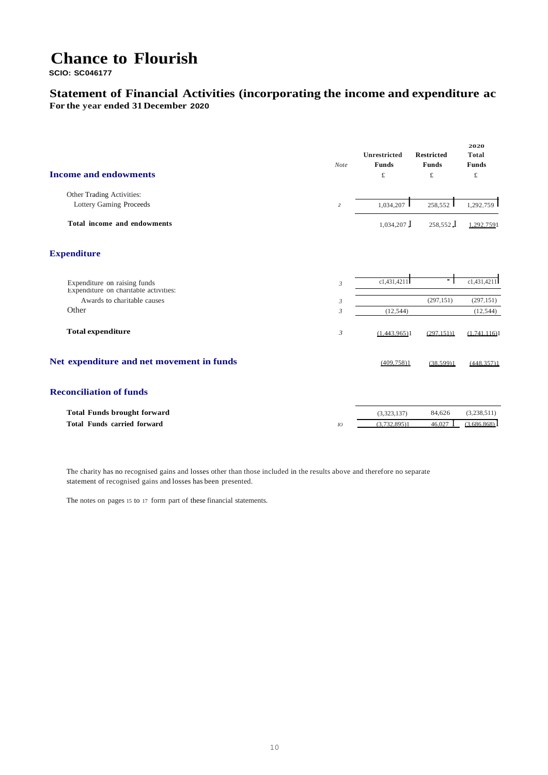**SCIO: SC046177**

### **Statement of Financial Activities (incorporating the income and expenditure ac For the year ended 31December 2020**

| <b>Income and endowments</b>              | Note           | <b>Unrestricted</b><br>Funds<br>£ | <b>Restricted</b><br><b>Funds</b><br>$\pounds$ | 2020<br><b>Total</b><br><b>Funds</b><br>$\pounds$ |
|-------------------------------------------|----------------|-----------------------------------|------------------------------------------------|---------------------------------------------------|
| Other Trading Activities:                 |                |                                   |                                                |                                                   |
| <b>Lottery Gaming Proceeds</b>            | $\overline{c}$ | 1,034,207                         | 258,552                                        | 1,292,759                                         |
| Total income and endowments               |                | $1,034,207$ J                     | $258.552$ J                                    | 1.292.7591                                        |
| <b>Expenditure</b>                        |                |                                   |                                                |                                                   |
| Expenditure on raising funds              | 3              | c1,431,4211                       | ٠                                              | c1,431,4211                                       |
| Expenditure on charitable activities:     |                |                                   |                                                |                                                   |
| Awards to charitable causes               | 3              |                                   | (297, 151)                                     | (297, 151)                                        |
| Other                                     | 3              | (12, 544)                         |                                                | (12, 544)                                         |
| <b>Total expenditure</b>                  | $\mathfrak{Z}$ | (1.443.965)1                      | (297.151)1                                     | (1.741.116)1                                      |
| Net expenditure and net movement in funds |                | (409.758)1                        | (38.599)1                                      | (448.357)1                                        |
| <b>Reconciliation of funds</b>            |                |                                   |                                                |                                                   |
| <b>Total Funds brought forward</b>        |                | (3,323,137)                       | 84,626                                         | (3,238,511)                                       |
| <b>Total Funds carried forward</b>        | IO             | (3.732.895)1                      | 46.027                                         | (3.686.868)                                       |

The charity has no recognised gains and losses other than those included in the results above and therefore no separate statement of recognised gains and losses has been presented.

The notes on pages 15 to 17 form part of these financial statements.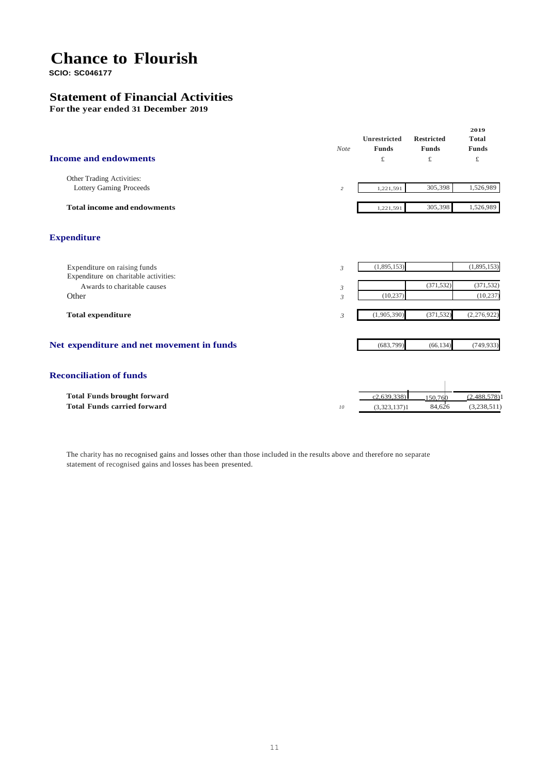**SCIO: SC046177**

### **Statement of Financial Activities**

**For the year ended 31 December 2019**

| <b>Income and endowments</b>                                          | <b>Note</b>    | Unrestricted<br><b>Funds</b><br>$\pounds$ | <b>Restricted</b><br><b>Funds</b><br>£ | 2019<br><b>Total</b><br><b>Funds</b><br>£ |
|-----------------------------------------------------------------------|----------------|-------------------------------------------|----------------------------------------|-------------------------------------------|
| Other Trading Activities:<br><b>Lottery Gaming Proceeds</b>           | $\overline{c}$ | 1,221,591                                 | 305,398                                | 1,526,989                                 |
| <b>Total income and endowments</b>                                    |                | 1,221,591                                 | 305,398                                | 1,526,989                                 |
| <b>Expenditure</b>                                                    |                |                                           |                                        |                                           |
| Expenditure on raising funds<br>Expenditure on charitable activities: | $\mathfrak{Z}$ | (1,895,153)                               |                                        | (1,895,153)                               |
| Awards to charitable causes<br>Other                                  | 3<br>3         | (10, 237)                                 | (371, 532)                             | (371, 532)<br>(10, 237)                   |
| <b>Total expenditure</b>                                              | 3              | (1,905,390)                               | (371, 532)                             | (2, 276, 922)                             |
| Net expenditure and net movement in funds                             |                | (683,799)                                 | (66, 134)                              | (749, 933)                                |
| <b>Reconciliation of funds</b>                                        |                |                                           |                                        |                                           |
| <b>Total Funds brought forward</b>                                    |                | c2.639.338                                | 150,760                                | (2.488.578)1                              |
| <b>Total Funds carried forward</b>                                    | 10             | (3,323,137)1                              | 84.626                                 | (3,238,511)                               |

The charity has no recognised gains and losses other than those included in the results above and therefore no separate statement of recognised gains and losses has been presented.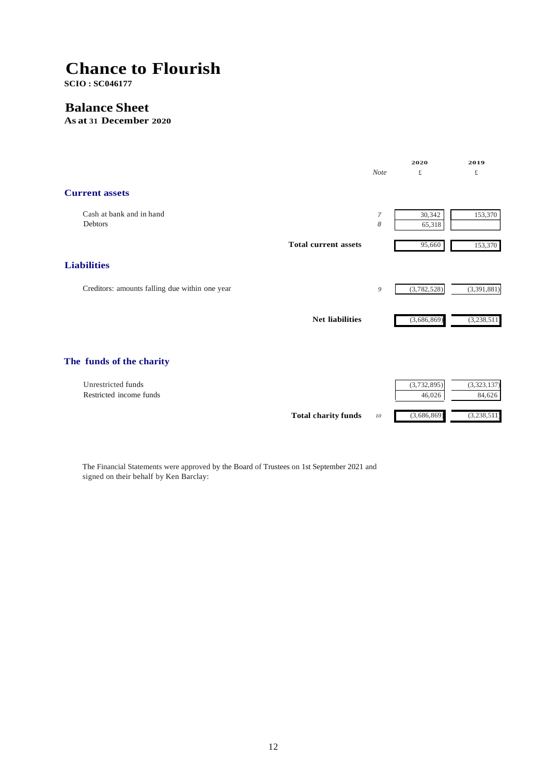**SCIO : SC046177**

### **Balance Sheet**

**As at 31 December 2020**



The Financial Statements were approved by the Board of Trustees on 1st September 2021 and signed on their behalf by Ken Barclay: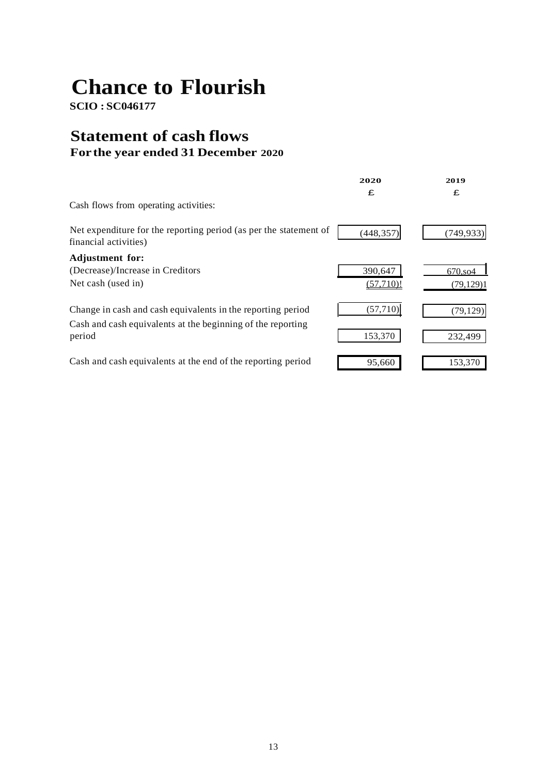**SCIO : SC046177**

## **Statement of cash flows For the year ended 31 December 2020**

|                                                                                                                                      | 2020                 | 2019                    |
|--------------------------------------------------------------------------------------------------------------------------------------|----------------------|-------------------------|
| Cash flows from operating activities:                                                                                                | £                    | £                       |
| Net expenditure for the reporting period (as per the statement of<br>financial activities)                                           | (448, 357)           | (749, 933)              |
| <b>Adjustment for:</b><br>(Decrease)/Increase in Creditors<br>Net cash (used in)                                                     | 390,647<br>(57.710)! | 670, so 4<br>(79, 129)1 |
| Change in cash and cash equivalents in the reporting period<br>Cash and cash equivalents at the beginning of the reporting<br>period | (57, 710)<br>153,370 | (79, 129)<br>232,499    |
| Cash and cash equivalents at the end of the reporting period                                                                         | 95,660               | 153,370                 |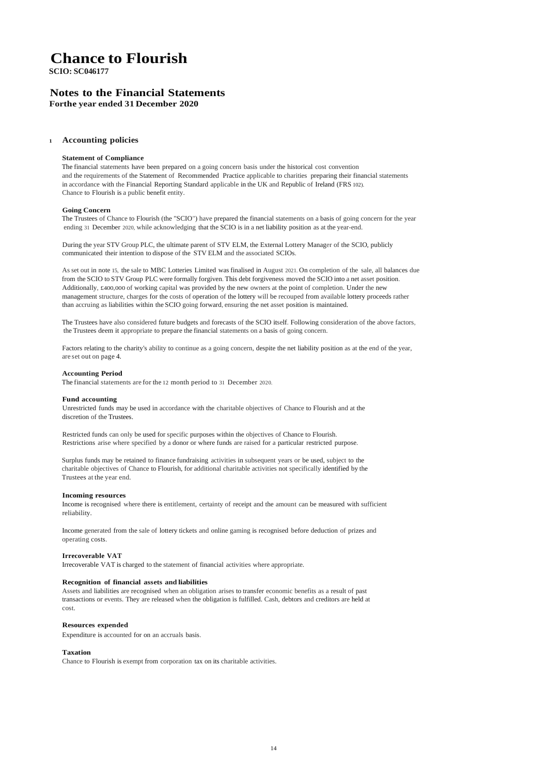**SCIO: SC046177**

#### **Notes to the Financial Statements Forthe year ended 31 December 2020**

#### **<sup>1</sup> Accounting policies**

#### **Statement of Compliance**

The financial statements have been prepared on a going concern basis under the historical cost convention and the requirements of the Statement of Recommended Practice applicable to charities preparing their financial statements in accordance with the Financial Reporting Standard applicable in the UK and Republic of Ireland (FRS 102). Chance to Flourish is a public benefit entity.

#### **Going Concern**

The Trustees of Chance to Flourish (the "SCIO") have prepared the financial statements on a basis of going concern for the year ending 31 December 2020, while acknowledging that the SCIO is in a net liability position as at the year-end.

During the year STV Group PLC, the ultimate parent of STV ELM, the External Lottery Manager of the SCIO, publicly communicated their intention to dispose of the STV ELM and the associated SCIOs.

As set out in note 15, the sale to MBC Lotteries Limited was finalised in August 2021. On completion of the sale, all balances due from the SCIO to STV Group PLC were formally forgiven. This debt forgiveness moved the SCIO into a net asset position. Additionally, £400,000 of working capital was provided by the new owners at the point of completion. Under the new management structure, charges for the costs of operation of the lottery will be recouped from available lottery proceeds rather than accruing as liabilities within the SCIO going forward, ensuring the net asset position is maintained.

The Trustees have also considered future budgets and forecasts of the SCIO itself. Following consideration of the above factors, the Trustees deem it appropriate to prepare the financial statements on a basis of going concern.

Factors relating to the charity's ability to continue as a going concern, despite the net liability position as at the end of the year, are set out on page 4.

#### **Accounting Period**

The financial statements are for the 12 month period to 31 December 2020.

#### **Fund accounting**

Unrestricted funds may be used in accordance with the charitable objectives of Chance to Flourish and at the discretion of the Trustees.

Restricted funds can only be used for specific purposes within the objectives of Chance to Flourish. Restrictions arise where specified by a donor or where funds are raised for a particular restricted purpose.

Surplus funds may be retained to finance fundraising activities in subsequent years or be used, subject to the charitable objectives of Chance to Flourish, for additional charitable activities not specifically identified by the Trustees at the year end.

#### **Incoming resources**

Income is recognised where there is entitlement, certainty of receipt and the amount can be measured with sufficient reliability.

Income generated from the sale of lottery tickets and online gaming is recognised before deduction of prizes and operating costs.

#### **Irrecoverable VAT**

Irrecoverable VAT is charged to the statement of financial activities where appropriate.

#### **Recognition of financial assets and liabilities**

Assets and liabilities are recognised when an obligation arises to transfer economic benefits as a result of past transactions or events. They are released when the obligation is fulfilled. Cash, debtors and creditors are held at cost.

#### **Resources expended**

Expenditure is accounted for on an accruals basis.

#### **Taxation**

Chance to Flourish is exempt from corporation tax on its charitable activities.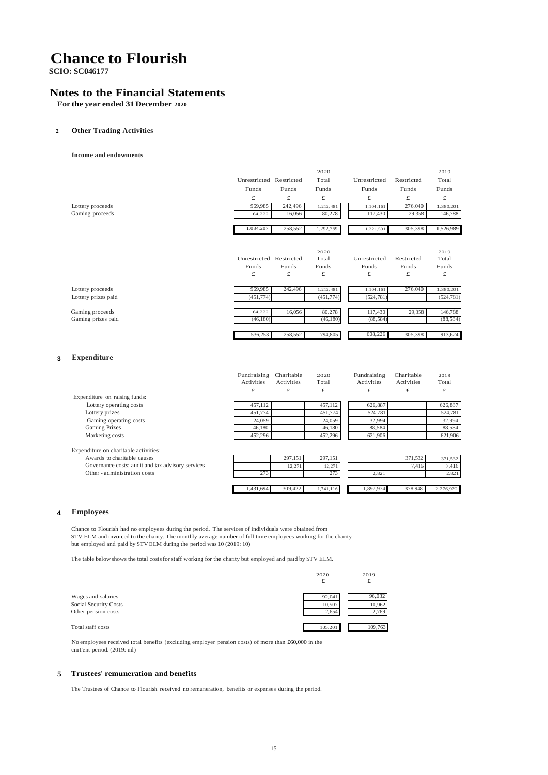**SCIO: SC046177**

#### **Notes to the Financial Statements**

**For the year ended 31 December 2020**

#### **2 Other Trading Activities**

**Income and endowments**

|                               |                         |                   | 2020         |                   |              | 2019         |
|-------------------------------|-------------------------|-------------------|--------------|-------------------|--------------|--------------|
|                               | Unrestricted Restricted |                   | Total        | Unrestricted      | Restricted   | Total        |
|                               | Funds                   | Funds             | Funds        | Funds             | Funds        | Funds        |
|                               | £                       | £                 | £            | £                 | £            | £            |
| Lottery proceeds              | 969,985                 | 242,496           | 1,212,481    | 1,104,161         | 276,040      | 1,380,201    |
| Gaming proceeds               | 64,222                  | 16,056            | 80,278       | 117.430           | 29,358       | 146,788      |
|                               | 1,034,207               | 258,552           | 1,292,759    | 1,221,591         | 305,398      | 1,526,989    |
|                               |                         |                   |              |                   |              |              |
|                               |                         |                   | 2020         |                   |              | 2019         |
|                               | Unrestricted Restricted |                   | Total        | Unrestricted      | Restricted   | Total        |
|                               | <b>Funds</b>            | <b>Funds</b>      | <b>Funds</b> | <b>Funds</b>      | <b>Funds</b> | <b>Funds</b> |
|                               | £                       | £                 | £            | £                 | £            | £            |
| Lottery proceeds              | 969,985                 | 242,496           | 1,212,481    | 1,104,161         | 276,040      | 1,380,201    |
| Lottery prizes paid           | (451, 774)              |                   | (451, 774)   | (524, 781)        |              | (524, 781)   |
| Gaming proceeds               | 64,222                  | 16,056            | 80,278       | 117,430           | 29,358       | 146,788      |
| Gaming prizes paid            | (46, 180)               |                   | (46, 180)    | (88, 584)         |              | (88, 584)    |
|                               | 536,253                 | 258,552           | 794,805      | 608,226           | 305,398      | 913,624      |
| <b>Expenditure</b><br>3       |                         |                   |              |                   |              |              |
|                               |                         |                   |              |                   |              |              |
|                               | Fundraising             | Charitable        | 2020         | Fundraising       | Charitable   | 2019         |
|                               | <b>Activities</b>       | <b>Activities</b> | Total        | <b>Activities</b> | Activities   | Total        |
| Expenditure on raising funds: | £                       | £                 | £            | £                 | £            | £            |
| Lottery operating costs       | 457,112                 |                   | 457,112      | 626,887           |              | 626,887      |
| Lottery prizes                | 451,774                 |                   | 451,774      | 524,781           |              | 524,781      |
| Gaming operating costs        | 24,059                  |                   | 24,059       | 32,994            |              | 32,994       |
| <b>Gaming Prizes</b>          | 46,180                  |                   | 46,180       | 88,584            |              | 88,584       |
| Marketing costs               | 452,296                 |                   | 452,296      | 621,906           |              | 621,906      |

Expenditure on charitable activities: Awards to charitable causes Governance costs: audit and tax advisory services Other - administration costs

1,431,694 309,422 1,741,116 1,897,974 378,948 2,276,922 297,151 297,151 12,271 12,271 273 273 371,532 371,532 7,416 7,416 2,821 2,821

#### **4 Employees**

Chance to Flourish had no employees during the period. The services of individuals were obtained from STV ELM and invoiced to the charity. The monthly average number of full time employees working for the charity but employed and paid by STV ELM during the period was 10 (2019: 10)

The table below shows the total costsfor staff working for the charity but employed and paid by STV ELM.

|                       | 2020    | 2019<br>£ |
|-----------------------|---------|-----------|
| Wages and salaries    | 92.041  | 96,032    |
| Social Security Costs | 10,507  | 10,962    |
| Other pension costs   | 2.654   | 2,769     |
|                       |         |           |
| Total staff costs     | 105,201 | 109,763   |

No employees received total benefits (excluding employer pension costs) of more than £60,000 in the cmTent period. (2019: nil)

#### **5 Trustees' remuneration and benefits**

The Trustees of Chance to Flourish received no remuneration, benefits or expenses during the period.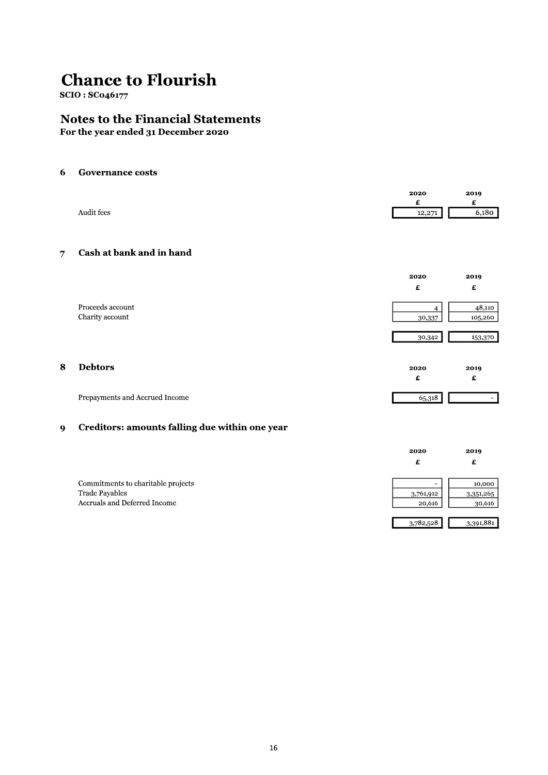**SCIO: SC046177** 

### **Notes to the Financial Statements**

For the year ended 31 December 2020

#### $\boldsymbol{6}$ **Governance costs**

|                       | 2020                | 2019  |
|-----------------------|---------------------|-------|
|                       |                     |       |
| Audit fees<br>------- | 12.271<br>$-2, 2/2$ | 6.180 |
|                       |                     |       |

#### **Cash at bank and in hand**  $\overline{7}$

|                  | 2020   | 2019              |
|------------------|--------|-------------------|
|                  | £      | £                 |
| Proceeds account |        |                   |
| Charity account  | 30,337 | 48,110<br>105,260 |
|                  |        |                   |
|                  | 30,342 | 153,370           |
|                  |        |                   |
| <b>Debtors</b>   | 2020   | 2019              |
|                  | £      | £                 |

65,318

 $\overline{\phantom{0}}$ 

Prepayments and Accrued Income

8

#### Creditors: amounts falling due within one year  $\boldsymbol{9}$

|                                    | 2020                     | 2019      |
|------------------------------------|--------------------------|-----------|
|                                    |                          | £         |
|                                    |                          |           |
| Commitments to charitable projects | $\overline{\phantom{0}}$ | 10,000    |
| <b>Trade Payables</b>              | 3,761,912                | 3,351,265 |
| Accruals and Deferred Income       | 20,616                   | 30,616    |
|                                    |                          |           |
|                                    | 3,782,528                | 3,391,881 |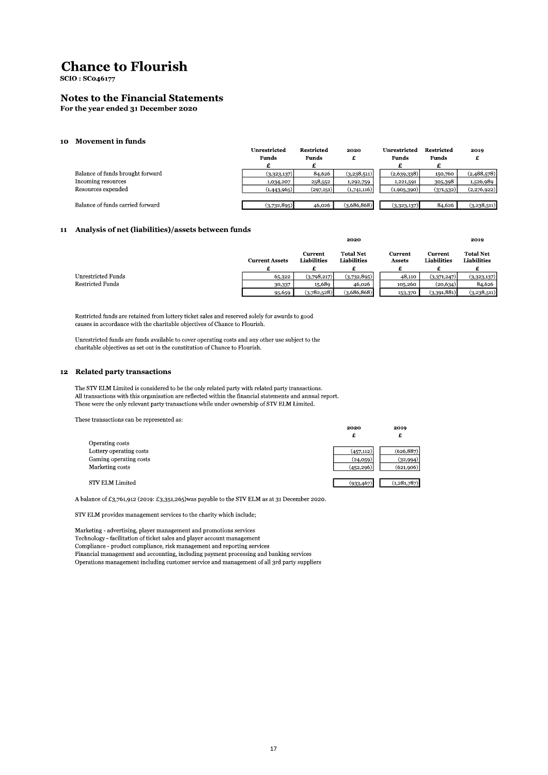**SCIO: SC046177** 

#### **Notes to the Financial Statements**

For the year ended 31 December 2020

#### 10 Movement in funds

|                                  | Unrestricted | Restricted   | 2020        | Unrestricted | Restricted   | 2019        |
|----------------------------------|--------------|--------------|-------------|--------------|--------------|-------------|
|                                  | <b>Funds</b> | <b>Funds</b> |             | <b>Funds</b> | <b>Funds</b> |             |
|                                  |              |              |             |              |              |             |
| Balance of funds brought forward | (3,323,137)  | 84,626       | (3,238,511) | (2,639,338)  | 150,760      | (2,488,578) |
| Incoming resources               | 1,034,207    | 258,552      | 1,292,759   | 1,221,591    | 305,398      | 1,526,989   |
| Resources expended               | (1,443,965)  | (297,151)    | (1,741,116) | (1,905,390)  | (371,532)    | (2,276,922) |
|                                  |              |              |             |              |              |             |
| Balance of funds carried forward | (3,732,895)  | 46,026       | (3,686,868) | (3,323,137)  | 84,626       | (3,238,511) |

#### 11 Analysis of net (liabilities)/assets between funds

|                         | <b>Current Assets</b> | Current<br><b>Liabilities</b> | <b>Total Net</b><br>Liabilities | Current<br>Assets | Current<br>Liabilities | <b>Total Net</b><br>Liabilities |
|-------------------------|-----------------------|-------------------------------|---------------------------------|-------------------|------------------------|---------------------------------|
| Unrestricted Funds      | 65,322                | (3,798,217)                   | (3,732,895)                     | 48,110            | (3,371,247)            | (3,323,137)                     |
| <b>Restricted Funds</b> | 30,337                | 15,689                        | 46,026                          | 105,260           | (20, 634)              | 84,626                          |
|                         | 95,659                | (3,782,528)                   | (3,686,868)                     | 153,370           | (3,391,881)            | (3,238,511)                     |

2020

2019

Restricted funds are retained from lottery ticket sales and reserved solely for awards to good causes in accordance with the charitable objectives of Chance to Flourish.

Unrestricted funds are funds available to cover operating costs and any other use subject to the charitable objectives as set out in the constitution of Chance to Flourish.

#### 12 Related party transactions

The STV ELM Limited is considered to be the only related party with related party transactions. All transactions with this organisation are reflected within the financial statements and annual report. These were the only relevant party transactions while under ownership of STV ELM Limited.

These transactions can be represented as:

|                         | 2020<br>£  | 2019<br>£     |
|-------------------------|------------|---------------|
| Operating costs         |            |               |
| Lottery operating costs | (457, 112) | (626, 887)    |
| Gaming operating costs  | (24,059)   | (32,994)      |
| Marketing costs         | (452, 296) | (621,906)     |
|                         |            |               |
| STV ELM Limited         | (933, 467) | (1, 281, 787) |
|                         |            |               |

A balance of £3,761,912 (2019: £3,351,265) was payable to the STV ELM as at 31 December 2020.

STV ELM provides management services to the charity which include;

Marketing - advertising, player management and promotions services Technology - facilitation of ticket sales and player account management Compliance - product compliance, risk management and reporting services Financial management and accounting, including payment processing and banking services Operations management including customer service and management of all 3rd party suppliers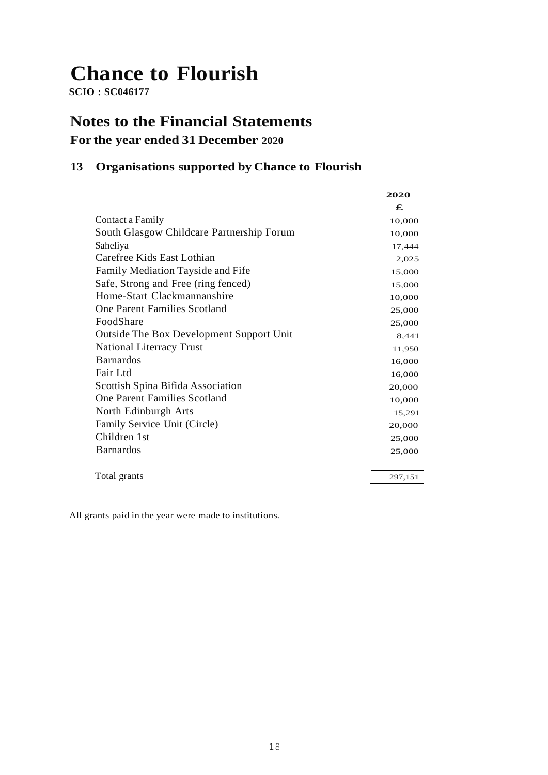**SCIO : SC046177**

## **Notes to the Financial Statements**

## **For the year ended 31 December 2020**

### **13 Organisations supported by Chance to Flourish**

|                                                 | 2020    |
|-------------------------------------------------|---------|
|                                                 | £       |
| Contact a Family                                | 10,000  |
| South Glasgow Childcare Partnership Forum       | 10,000  |
| Saheliya                                        | 17,444  |
| Carefree Kids East Lothian                      | 2,025   |
| Family Mediation Tayside and Fife               | 15,000  |
| Safe, Strong and Free (ring fenced)             | 15,000  |
| Home-Start Clackmannanshire                     | 10,000  |
| <b>One Parent Families Scotland</b>             | 25,000  |
| FoodShare                                       | 25,000  |
| <b>Outside The Box Development Support Unit</b> | 8,441   |
| <b>National Literracy Trust</b>                 | 11,950  |
| <b>Barnardos</b>                                | 16,000  |
| Fair Ltd                                        | 16,000  |
| Scottish Spina Bifida Association               | 20,000  |
| One Parent Families Scotland                    | 10,000  |
| North Edinburgh Arts                            | 15,291  |
| Family Service Unit (Circle)                    | 20,000  |
| Children 1st                                    | 25,000  |
| <b>Barnardos</b>                                | 25,000  |
|                                                 |         |
| Total grants                                    | 297,151 |

All grants paid in the year were made to institutions.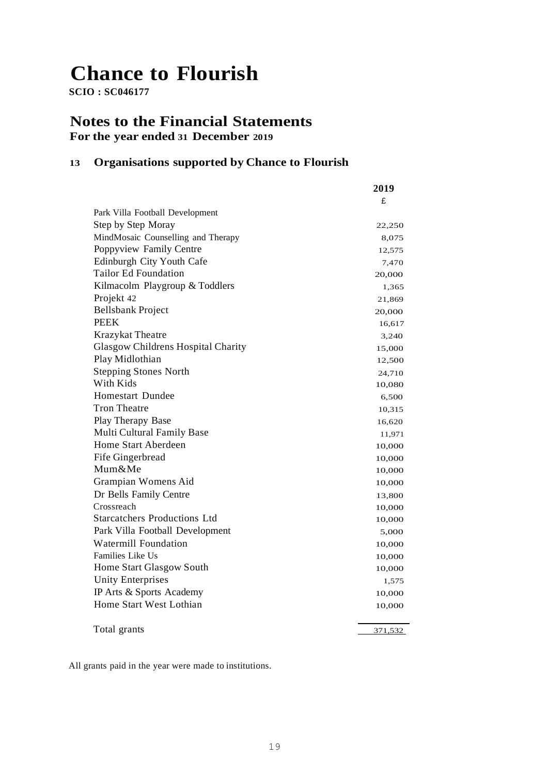**SCIO : SC046177**

### **Notes to the Financial Statements For the year ended 31 December 2019**

### **13 Organisations supported by Chance to Flourish**

| £<br>Park Villa Football Development<br>Step by Step Moray<br>22,250<br>MindMosaic Counselling and Therapy<br>8,075<br>Poppyview Family Centre<br>12,575<br>Edinburgh City Youth Cafe<br>7,470<br><b>Tailor Ed Foundation</b><br>20,000<br>Kilmacolm Playgroup & Toddlers<br>1,365<br>Projekt 42<br>21,869<br><b>Bellsbank Project</b><br>20,000<br><b>PEEK</b><br>16,617<br>Krazykat Theatre<br>3,240<br>Glasgow Childrens Hospital Charity<br>15,000<br>Play Midlothian<br>12,500<br><b>Stepping Stones North</b><br>24,710<br>With Kids<br>10,080<br><b>Homestart Dundee</b><br>6,500<br><b>Tron Theatre</b><br>10,315<br>Play Therapy Base<br>16,620<br>Multi Cultural Family Base<br>11,971<br>Home Start Aberdeen<br>10,000<br>Fife Gingerbread<br>10,000<br>Mum&Me<br>10,000<br>Grampian Womens Aid<br>10,000<br>Dr Bells Family Centre<br>13,800<br>Crossreach<br>10,000<br><b>Starcatchers Productions Ltd</b><br>10,000<br>Park Villa Football Development<br>5,000<br><b>Watermill Foundation</b><br>10,000<br>Families Like Us<br>10,000<br>Home Start Glasgow South<br>10,000<br><b>Unity Enterprises</b><br>1,575<br>IP Arts & Sports Academy<br>10,000<br>Home Start West Lothian<br>10,000<br>Total grants<br>371,532 | 2019 |
|---------------------------------------------------------------------------------------------------------------------------------------------------------------------------------------------------------------------------------------------------------------------------------------------------------------------------------------------------------------------------------------------------------------------------------------------------------------------------------------------------------------------------------------------------------------------------------------------------------------------------------------------------------------------------------------------------------------------------------------------------------------------------------------------------------------------------------------------------------------------------------------------------------------------------------------------------------------------------------------------------------------------------------------------------------------------------------------------------------------------------------------------------------------------------------------------------------------------------------------|------|
|                                                                                                                                                                                                                                                                                                                                                                                                                                                                                                                                                                                                                                                                                                                                                                                                                                                                                                                                                                                                                                                                                                                                                                                                                                       |      |
|                                                                                                                                                                                                                                                                                                                                                                                                                                                                                                                                                                                                                                                                                                                                                                                                                                                                                                                                                                                                                                                                                                                                                                                                                                       |      |
|                                                                                                                                                                                                                                                                                                                                                                                                                                                                                                                                                                                                                                                                                                                                                                                                                                                                                                                                                                                                                                                                                                                                                                                                                                       |      |
|                                                                                                                                                                                                                                                                                                                                                                                                                                                                                                                                                                                                                                                                                                                                                                                                                                                                                                                                                                                                                                                                                                                                                                                                                                       |      |
|                                                                                                                                                                                                                                                                                                                                                                                                                                                                                                                                                                                                                                                                                                                                                                                                                                                                                                                                                                                                                                                                                                                                                                                                                                       |      |
|                                                                                                                                                                                                                                                                                                                                                                                                                                                                                                                                                                                                                                                                                                                                                                                                                                                                                                                                                                                                                                                                                                                                                                                                                                       |      |
|                                                                                                                                                                                                                                                                                                                                                                                                                                                                                                                                                                                                                                                                                                                                                                                                                                                                                                                                                                                                                                                                                                                                                                                                                                       |      |
|                                                                                                                                                                                                                                                                                                                                                                                                                                                                                                                                                                                                                                                                                                                                                                                                                                                                                                                                                                                                                                                                                                                                                                                                                                       |      |
|                                                                                                                                                                                                                                                                                                                                                                                                                                                                                                                                                                                                                                                                                                                                                                                                                                                                                                                                                                                                                                                                                                                                                                                                                                       |      |
|                                                                                                                                                                                                                                                                                                                                                                                                                                                                                                                                                                                                                                                                                                                                                                                                                                                                                                                                                                                                                                                                                                                                                                                                                                       |      |
|                                                                                                                                                                                                                                                                                                                                                                                                                                                                                                                                                                                                                                                                                                                                                                                                                                                                                                                                                                                                                                                                                                                                                                                                                                       |      |
|                                                                                                                                                                                                                                                                                                                                                                                                                                                                                                                                                                                                                                                                                                                                                                                                                                                                                                                                                                                                                                                                                                                                                                                                                                       |      |
|                                                                                                                                                                                                                                                                                                                                                                                                                                                                                                                                                                                                                                                                                                                                                                                                                                                                                                                                                                                                                                                                                                                                                                                                                                       |      |
|                                                                                                                                                                                                                                                                                                                                                                                                                                                                                                                                                                                                                                                                                                                                                                                                                                                                                                                                                                                                                                                                                                                                                                                                                                       |      |
|                                                                                                                                                                                                                                                                                                                                                                                                                                                                                                                                                                                                                                                                                                                                                                                                                                                                                                                                                                                                                                                                                                                                                                                                                                       |      |
|                                                                                                                                                                                                                                                                                                                                                                                                                                                                                                                                                                                                                                                                                                                                                                                                                                                                                                                                                                                                                                                                                                                                                                                                                                       |      |
|                                                                                                                                                                                                                                                                                                                                                                                                                                                                                                                                                                                                                                                                                                                                                                                                                                                                                                                                                                                                                                                                                                                                                                                                                                       |      |
|                                                                                                                                                                                                                                                                                                                                                                                                                                                                                                                                                                                                                                                                                                                                                                                                                                                                                                                                                                                                                                                                                                                                                                                                                                       |      |
|                                                                                                                                                                                                                                                                                                                                                                                                                                                                                                                                                                                                                                                                                                                                                                                                                                                                                                                                                                                                                                                                                                                                                                                                                                       |      |
|                                                                                                                                                                                                                                                                                                                                                                                                                                                                                                                                                                                                                                                                                                                                                                                                                                                                                                                                                                                                                                                                                                                                                                                                                                       |      |
|                                                                                                                                                                                                                                                                                                                                                                                                                                                                                                                                                                                                                                                                                                                                                                                                                                                                                                                                                                                                                                                                                                                                                                                                                                       |      |
|                                                                                                                                                                                                                                                                                                                                                                                                                                                                                                                                                                                                                                                                                                                                                                                                                                                                                                                                                                                                                                                                                                                                                                                                                                       |      |
|                                                                                                                                                                                                                                                                                                                                                                                                                                                                                                                                                                                                                                                                                                                                                                                                                                                                                                                                                                                                                                                                                                                                                                                                                                       |      |
|                                                                                                                                                                                                                                                                                                                                                                                                                                                                                                                                                                                                                                                                                                                                                                                                                                                                                                                                                                                                                                                                                                                                                                                                                                       |      |
|                                                                                                                                                                                                                                                                                                                                                                                                                                                                                                                                                                                                                                                                                                                                                                                                                                                                                                                                                                                                                                                                                                                                                                                                                                       |      |
|                                                                                                                                                                                                                                                                                                                                                                                                                                                                                                                                                                                                                                                                                                                                                                                                                                                                                                                                                                                                                                                                                                                                                                                                                                       |      |
|                                                                                                                                                                                                                                                                                                                                                                                                                                                                                                                                                                                                                                                                                                                                                                                                                                                                                                                                                                                                                                                                                                                                                                                                                                       |      |
|                                                                                                                                                                                                                                                                                                                                                                                                                                                                                                                                                                                                                                                                                                                                                                                                                                                                                                                                                                                                                                                                                                                                                                                                                                       |      |
|                                                                                                                                                                                                                                                                                                                                                                                                                                                                                                                                                                                                                                                                                                                                                                                                                                                                                                                                                                                                                                                                                                                                                                                                                                       |      |
|                                                                                                                                                                                                                                                                                                                                                                                                                                                                                                                                                                                                                                                                                                                                                                                                                                                                                                                                                                                                                                                                                                                                                                                                                                       |      |
|                                                                                                                                                                                                                                                                                                                                                                                                                                                                                                                                                                                                                                                                                                                                                                                                                                                                                                                                                                                                                                                                                                                                                                                                                                       |      |
|                                                                                                                                                                                                                                                                                                                                                                                                                                                                                                                                                                                                                                                                                                                                                                                                                                                                                                                                                                                                                                                                                                                                                                                                                                       |      |
|                                                                                                                                                                                                                                                                                                                                                                                                                                                                                                                                                                                                                                                                                                                                                                                                                                                                                                                                                                                                                                                                                                                                                                                                                                       |      |
|                                                                                                                                                                                                                                                                                                                                                                                                                                                                                                                                                                                                                                                                                                                                                                                                                                                                                                                                                                                                                                                                                                                                                                                                                                       |      |
|                                                                                                                                                                                                                                                                                                                                                                                                                                                                                                                                                                                                                                                                                                                                                                                                                                                                                                                                                                                                                                                                                                                                                                                                                                       |      |

All grants paid in the year were made to institutions.